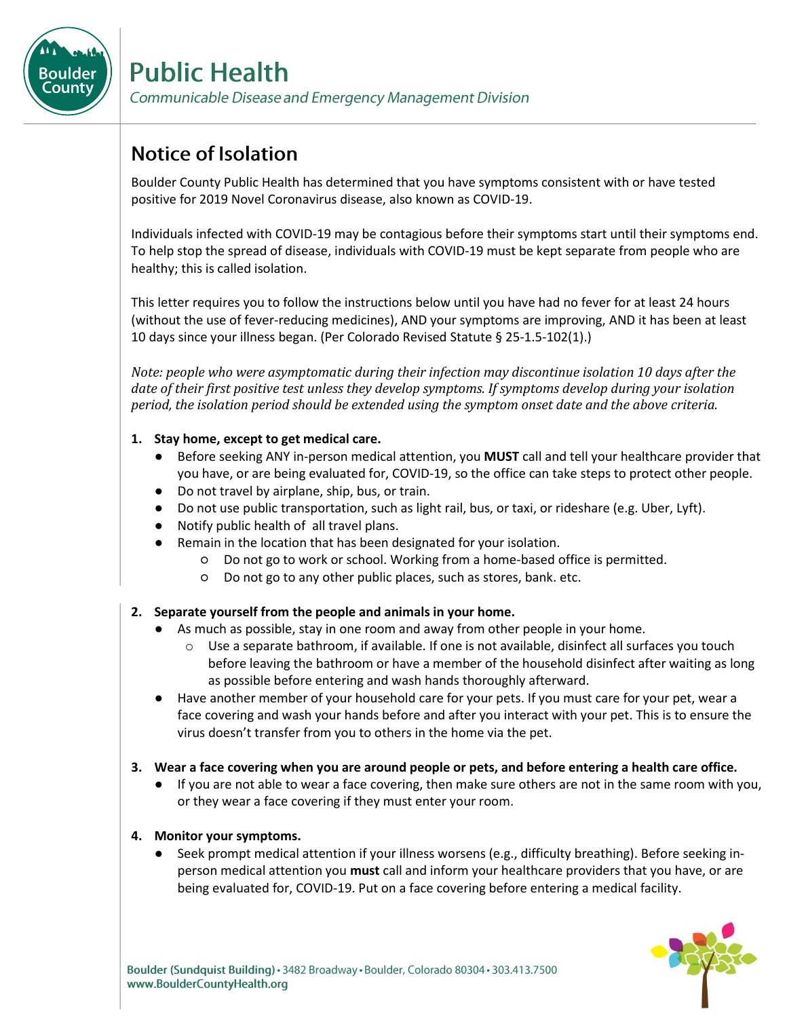

# **Public Health**

Communicable Disease and Emergency Management Division

## **Notice of Isolation**

Boulder County Public Health has determined that you have symptoms consistent with or have tested positive for 2019 Novel Coronavirus disease, also known as COVID-19.

Individuals infected with COVID-19 may be contagious before their symptoms start until their symptoms end. To help stop the spread of disease, individuals with COVID-19 must be kept separate from people who are healthy; this is called isolation.

This letter requires you to follow the instructions below until you have had no fever for at least 24 hours (without the use of fever-reducing medicines), AND your symptoms are improving, AND it has been at least 10 days since your illness began. (Per Colorado Revised Statute § 25-1.5-102(1).)

*Note: people who were asymptomatic during their infection may discontinue isolation 10 days after the date of their first positive test unless they develop symptoms. If symptoms develop during your isolation period, the isolation period should be extended using the symptom onset date and the above criteria.*

### **1. Stay home, except to get medical care.**

- Before seeking ANY in-person medical attention, you **MUST** call and tell your healthcare provider that you have, or are being evaluated for, COVID-19, so the office can take steps to protect other people.
- Do not travel by airplane, ship, bus, or train.
- Do not use public transportation, such as light rail, bus, or taxi, or rideshare (e.g. Uber, Lyft).
- Notify public health of all travel plans.
- Remain in the location that has been designated for your isolation.
	- Do not go to work or school. Working from a home-based office is permitted.
	- Do not go to any other public places, such as stores, bank. etc.

### **2. Separate yourself from the people and animals in your home.**

- As much as possible, stay in one room and away from other people in your home.
	- $\circ$  Use a separate bathroom, if available. If one is not available, disinfect all surfaces you touch before leaving the bathroom or have a member of the household disinfect after waiting as long as possible before entering and wash hands thoroughly afterward.
- Have another member of your household care for your pets. If you must care for your pet, wear a face covering and wash your hands before and after you interact with your pet. This is to ensure the virus doesn't transfer from you to others in the home via the pet.
- **3. Wear a face covering when you are around people or pets, and before entering a health care office.** 
	- If you are not able to wear a face covering, then make sure others are not in the same room with you, or they wear a face covering if they must enter your room.

#### **4. Monitor your symptoms.**

Seek prompt medical attention if your illness worsens (e.g., difficulty breathing). Before seeking inperson medical attention you **must** call and inform your healthcare providers that you have, or are being evaluated for, COVID-19. Put on a face covering before entering a medical facility.